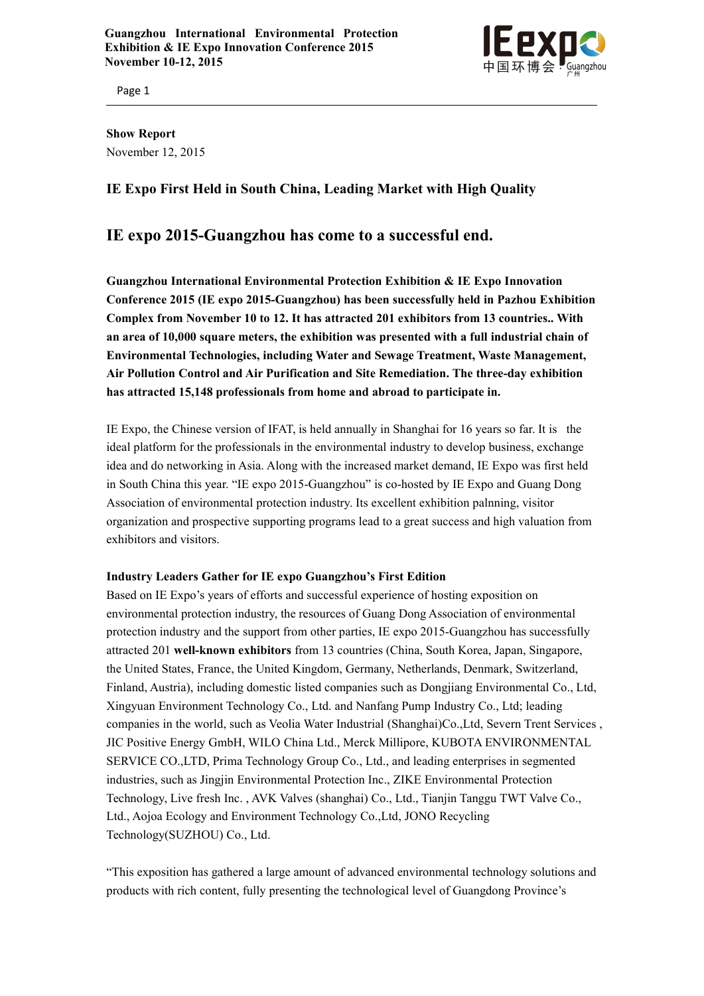

Page 1

**Show Report** November 12,2015

## **IE Expo First Held in South China, Leading Market with High Quality**

# **IE expo 2015-Guangzhou has come to a successful end.**

**Guangzhou International Environmental Protection Exhibition & IE Expo Innovation Conference 2015 (IE expo 2015-Guangzhou) has been successfully held in Pazhou Exhibition Complex from November 10 to 12. Ithas attracted 201 exhibitors from 13 countries..With an area of 10,000 square meters, the exhibition was presented with a full industrial chain of Environmental Technologies, including Water and Sewage Treatment, Waste Management, Air Pollution Control and Air Purification and Site Remediation. The three-day exhibition has attracted 15,148 professionals from home and abroad toparticipate in.**

IE Expo, the Chinese version of IFAT, is held annually in Shanghai for 16 years so far.It is the ideal platform for the professionals in the environmental industry to develop business, exchange idea and do networking in Asia. Along with the increased market demand, IE Expo was first held in South China this year. "IE expo 2015-Guangzhou" is co-hosted by IE Expo and Guang Dong Association of environmental protection industry. Its excellent exhibition palnning, visitor organization and prospective supporting programs lead to a great success and high valuation from exhibitors and visitors.

## **Industry Leaders Gather for IE expo Guangzhou's First Edition**

Based on IE Expo's years of efforts and successful experience of hosting exposition on environmental protection industry, the resources of Guang Dong Association of environmental protection industry and the support from other parties, IE expo 2015-Guangzhou has successfully attracted 201 **well-known exhibitors** from 13 countries (China, South Korea, Japan, Singapore, the United States, France, the United Kingdom, Germany, Netherlands, Denmark, Switzerland, Finland, Austria), including domestic listed companies such as Dongjiang Environmental Co., Ltd, Xingyuan Environment Technology Co., Ltd. and Nanfang Pump Industry Co., Ltd; leading companies in the world, such as Veolia Water Industrial [\(Shanghai\)Co.,Ltd](http://www.ie-expo.com/Visitors/exhibitor-231.html), Severn Trent [Services](http://www.ie-expo.com/Visitors/exhibitor-87.html) , JIC Positive Energy GmbH, WILO China Ltd., Merck [Millipore,](http://www.ie-expo.com/Visitors/exhibitor-190.html) KUBOTA [ENVIRONMENTAL](http://www.ie-expo.com/Visitors/exhibitor-105.html) [SERVICE](http://www.ie-expo.com/Visitors/exhibitor-105.html) CO.,LTD, Prima Technology Group Co.,Ltd., and leading enterprises in segmented industries, such as Jingjin Environmental Protection Inc., ZIKE Environmental Protection Technology, Live fresh Inc., AVK Valves (shanghai) Co., Ltd., Tianjin Tanggu TWT Valve Co., Ltd., Aojoa Ecology and Environment Technology Co.,Ltd, JONO Recycling Technology(SUZHOU) Co., Ltd.

"This exposition has gathered a large amount of advanced environmental technology solutions and products with rich content, fully presenting the technological level of Guangdong Province's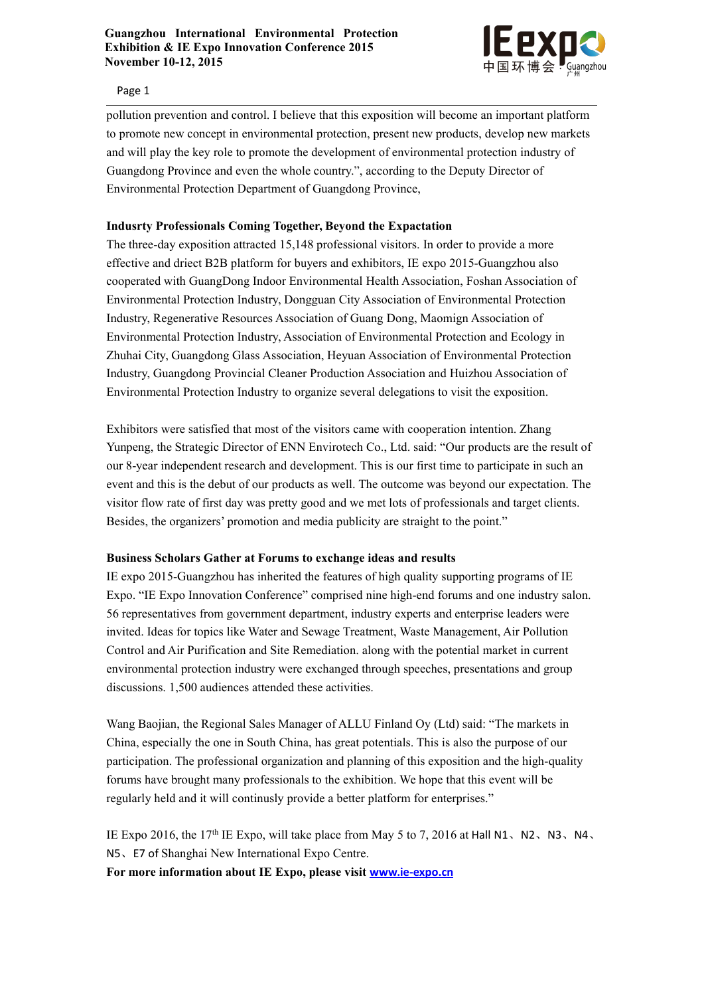

Page 1

pollution prevention and control. I believe that this exposition will become an important platform to promote new concept in environmental protection, present new products, develop new markets and will play the key role to promote the development of environmental protection industry of Guangdong Province and even the whole country.", according to the Deputy Director of Environmental Protection Department of Guangdong Province,

## **Indusrty Professionals Coming Together, Beyond the Expactation**

The three-day exposition attracted 15,148 professional visitors. In order to provide a more effective and driect B2B platform for buyers and exhibitors, IE expo 2015-Guangzhou also cooperated with GuangDong Indoor Environmental Health Association, Foshan Association of Environmental Protection Industry, Dongguan City Association of Environmental Protection Industry, Regenerative Resources Association of Guang Dong, Maomign Association of Environmental Protection Industry, Association of Environmental Protection and Ecology in Zhuhai City, Guangdong Glass Association, Heyuan Association of Environmental Protection Industry, Guangdong Provincial Cleaner Production Association and Huizhou Association of Environmental Protection Industry to organize several delegations to visit the exposition.

Exhibitors were satisfied that most of the visitors came with cooperation intention. Zhang Yunpeng, the Strategic Director of ENN Envirotech Co., Ltd. said: "Our products are the result of our 8-year independent research and development. This is our first time to participate in such an event and this is the debut of our products as well. The outcome was beyond our expectation. The visitor flow rate of first day was pretty good and we met lots of professionals and target clients. Besides, the organizers' promotion and media publicity are straight to the point."

## **Business Scholars Gather at Forums to exchange ideas and results**

IE expo 2015-Guangzhou has inherited the features of high quality supporting programs of IE Expo. "IE Expo Innovation Conference" comprised nine high-end forums and one industry salon. 56 representatives from government department, industry experts and enterprise leaders were invited. Ideas for topics like Water and Sewage Treatment, Waste Management, Air Pollution Control and Air Purification and Site Remediation. along with the potential market in current environmental protection industry were exchanged through speeches, presentations and group discussions. 1,500 audiences attended these activities.

Wang Baojian, the Regional Sales Manager of ALLU Finland Oy (Ltd) said: "The markets in China, especially the one in South China, has great potentials. This is also the purpose of our participation. The professional organization and planning of this exposition and the high-quality forums have brought many professionals to the exhibition. We hope that this event will be regularly held and it will continusly provide a better platform for enterprises."

IE Expo 2016, the 17<sup>th</sup> IE Expo, will take place from May 5 to 7, 2016 at Hall N1, N2, N3, N4, N5、E7 of Shanghai New International Expo Centre. **For more information about IE Expo, please visit [www.ie-expo.cn](http://www.ie-expo.cn/)**